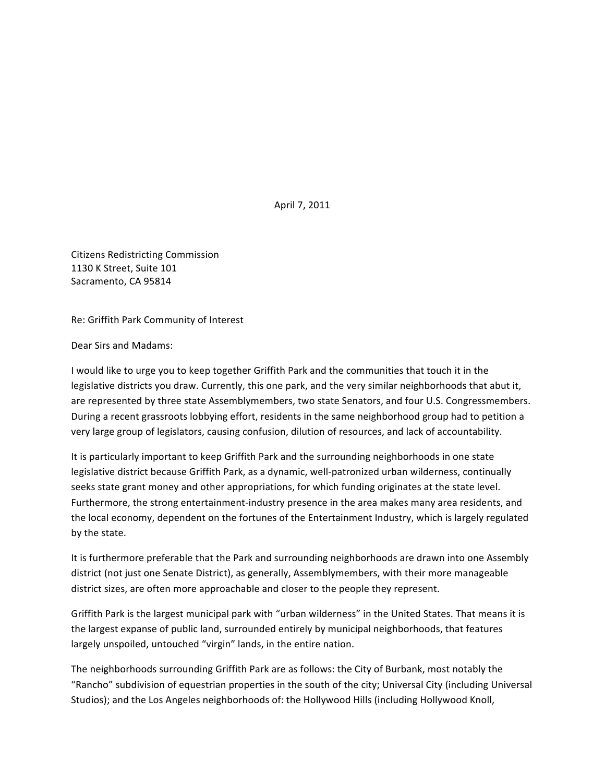April 7, 2011

Citizens Redistricting Commission 1130 K Street, Suite 101 Sacramento, CA 95814

Re: Griffith Park Community of Interest

Dear Sirs and Madams:

I would like to urge you to keep together Griffith Park and the communities that touch it in the legislative districts you draw. Currently, this one park, and the very similar neighborhoods that abut it, are represented by three state Assemblymembers, two state Senators, and four U.S. Congressmembers. During a recent grassroots lobbying effort, residents in the same neighborhood group had to petition a very large group of legislators, causing confusion, dilution of resources, and lack of accountability.

It is particularly important to keep Griffith Park and the surrounding neighborhoods in one state legislative district because Griffith Park, as a dynamic, well-patronized urban wilderness, continually seeks state grant money and other appropriations, for which funding originates at the state level. Furthermore, the strong entertainment-industry presence in the area makes many area residents, and the local economy, dependent on the fortunes of the Entertainment Industry, which is largely regulated by the state.

It is furthermore preferable that the Park and surrounding neighborhoods are drawn into one Assembly district (not just one Senate District), as generally, Assemblymembers, with their more manageable district sizes, are often more approachable and closer to the people they represent.

Griffith Park is the largest municipal park with "urban wilderness" in the United States. That means it is the largest expanse of public land, surrounded entirely by municipal neighborhoods, that features largely unspoiled, untouched "virgin" lands, in the entire nation.

The neighborhoods surrounding Griffith Park are as follows: the City of Burbank, most notably the "Rancho" subdivision of equestrian properties in the south of the city; Universal City (including Universal Studios); and the Los Angeles neighborhoods of: the Hollywood Hills (including Hollywood Knoll,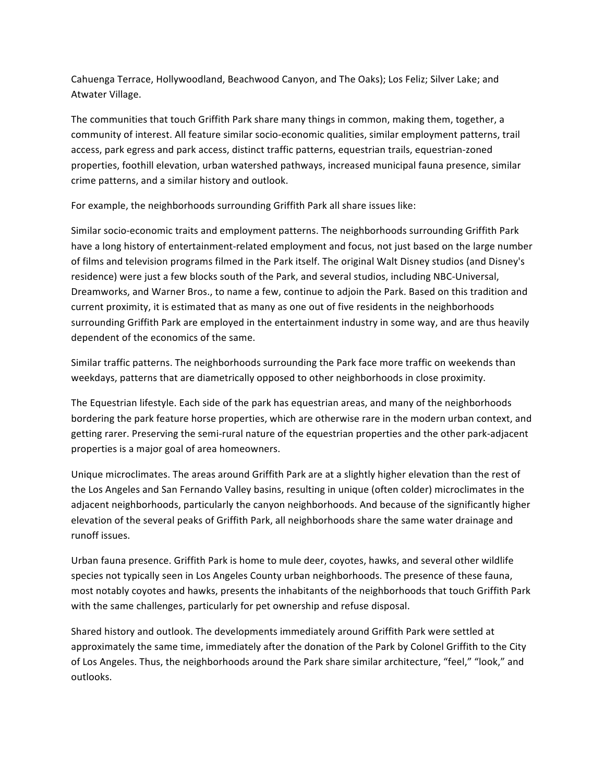Cahuenga Terrace, Hollywoodland, Beachwood Canyon, and The Oaks); Los Feliz; Silver Lake; and Atwater Village.

The communities that touch Griffith Park share many things in common, making them, together, a community of interest. All feature similar socio-economic qualities, similar employment patterns, trail access, park egress and park access, distinct traffic patterns, equestrian trails, equestrian-zoned properties, foothill elevation, urban watershed pathways, increased municipal fauna presence, similar crime patterns, and a similar history and outlook.

For example, the neighborhoods surrounding Griffith Park all share issues like:

Similar socio-economic traits and employment patterns. The neighborhoods surrounding Griffith Park have a long history of entertainment-related employment and focus, not just based on the large number of films and television programs filmed in the Park itself. The original Walt Disney studios (and Disney's residence) were just a few blocks south of the Park, and several studios, including NBC-Universal, Dreamworks, and Warner Bros., to name a few, continue to adjoin the Park. Based on this tradition and current proximity, it is estimated that as many as one out of five residents in the neighborhoods surrounding Griffith Park are employed in the entertainment industry in some way, and are thus heavily dependent of the economics of the same.

Similar traffic patterns. The neighborhoods surrounding the Park face more traffic on weekends than weekdays, patterns that are diametrically opposed to other neighborhoods in close proximity.

The Equestrian lifestyle. Each side of the park has equestrian areas, and many of the neighborhoods bordering the park feature horse properties, which are otherwise rare in the modern urban context, and getting rarer. Preserving the semi-rural nature of the equestrian properties and the other park-adjacent properties is a major goal of area homeowners.

Unique microclimates. The areas around Griffith Park are at a slightly higher elevation than the rest of the Los Angeles and San Fernando Valley basins, resulting in unique (often colder) microclimates in the adjacent neighborhoods, particularly the canyon neighborhoods. And because of the significantly higher elevation of the several peaks of Griffith Park, all neighborhoods share the same water drainage and runoff issues.

Urban fauna presence. Griffith Park is home to mule deer, coyotes, hawks, and several other wildlife species not typically seen in Los Angeles County urban neighborhoods. The presence of these fauna, most notably coyotes and hawks, presents the inhabitants of the neighborhoods that touch Griffith Park with the same challenges, particularly for pet ownership and refuse disposal.

Shared history and outlook. The developments immediately around Griffith Park were settled at approximately the same time, immediately after the donation of the Park by Colonel Griffith to the City of Los Angeles. Thus, the neighborhoods around the Park share similar architecture, "feel," "look," and outlooks.